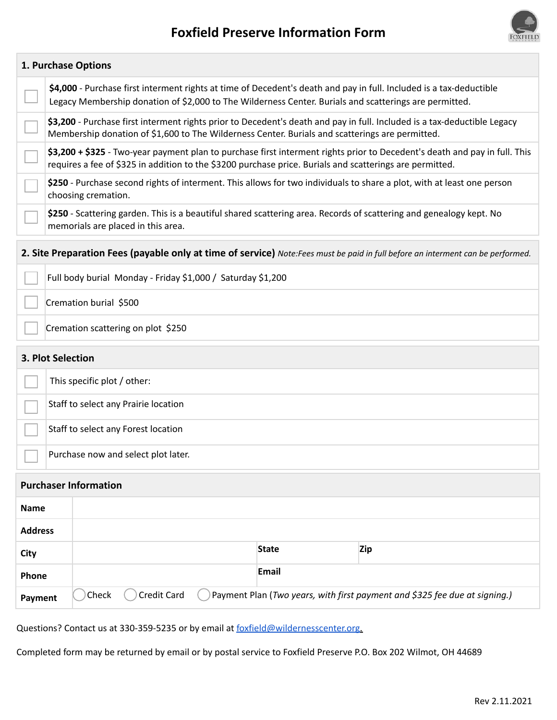



|                | 1. Purchase Options                |                                                                                                                                                                                                                                        |                                                                                                                        |            |  |  |  |  |
|----------------|------------------------------------|----------------------------------------------------------------------------------------------------------------------------------------------------------------------------------------------------------------------------------------|------------------------------------------------------------------------------------------------------------------------|------------|--|--|--|--|
|                |                                    | \$4,000 - Purchase first interment rights at time of Decedent's death and pay in full. Included is a tax-deductible<br>Legacy Membership donation of \$2,000 to The Wilderness Center. Burials and scatterings are permitted.          |                                                                                                                        |            |  |  |  |  |
|                |                                    | \$3,200 - Purchase first interment rights prior to Decedent's death and pay in full. Included is a tax-deductible Legacy<br>Membership donation of \$1,600 to The Wilderness Center. Burials and scatterings are permitted.            |                                                                                                                        |            |  |  |  |  |
|                |                                    | \$3,200 + \$325 - Two-year payment plan to purchase first interment rights prior to Decedent's death and pay in full. This<br>requires a fee of \$325 in addition to the \$3200 purchase price. Burials and scatterings are permitted. |                                                                                                                        |            |  |  |  |  |
|                |                                    | choosing cremation.                                                                                                                                                                                                                    | \$250 - Purchase second rights of interment. This allows for two individuals to share a plot, with at least one person |            |  |  |  |  |
|                |                                    | \$250 - Scattering garden. This is a beautiful shared scattering area. Records of scattering and genealogy kept. No<br>memorials are placed in this area.                                                                              |                                                                                                                        |            |  |  |  |  |
|                |                                    | 2. Site Preparation Fees (payable only at time of service) Note: Fees must be paid in full before an interment can be performed.                                                                                                       |                                                                                                                        |            |  |  |  |  |
|                |                                    | Full body burial Monday - Friday \$1,000 / Saturday \$1,200                                                                                                                                                                            |                                                                                                                        |            |  |  |  |  |
|                |                                    | Cremation burial \$500                                                                                                                                                                                                                 |                                                                                                                        |            |  |  |  |  |
|                | Cremation scattering on plot \$250 |                                                                                                                                                                                                                                        |                                                                                                                        |            |  |  |  |  |
|                | 3. Plot Selection                  |                                                                                                                                                                                                                                        |                                                                                                                        |            |  |  |  |  |
|                |                                    | This specific plot / other:                                                                                                                                                                                                            |                                                                                                                        |            |  |  |  |  |
|                |                                    | Staff to select any Prairie location                                                                                                                                                                                                   |                                                                                                                        |            |  |  |  |  |
|                |                                    | Staff to select any Forest location                                                                                                                                                                                                    |                                                                                                                        |            |  |  |  |  |
|                |                                    | Purchase now and select plot later.                                                                                                                                                                                                    |                                                                                                                        |            |  |  |  |  |
|                | <b>Purchaser Information</b>       |                                                                                                                                                                                                                                        |                                                                                                                        |            |  |  |  |  |
| <b>Name</b>    |                                    |                                                                                                                                                                                                                                        |                                                                                                                        |            |  |  |  |  |
| <b>Address</b> |                                    |                                                                                                                                                                                                                                        |                                                                                                                        |            |  |  |  |  |
| City           |                                    |                                                                                                                                                                                                                                        | <b>State</b>                                                                                                           | <b>Zip</b> |  |  |  |  |
| Phone          |                                    |                                                                                                                                                                                                                                        | <b>Email</b>                                                                                                           |            |  |  |  |  |
| Payment        |                                    | Credit Card<br>Payment Plan (Two years, with first payment and \$325 fee due at signing.)<br>Check                                                                                                                                     |                                                                                                                        |            |  |  |  |  |

Questions? Contact us at 330-359-5235 or by email at foxfield@wildernesscenter.org.

Completed form may be returned by email or by postal service to Foxfield Preserve P.O. Box 202 Wilmot, OH 44689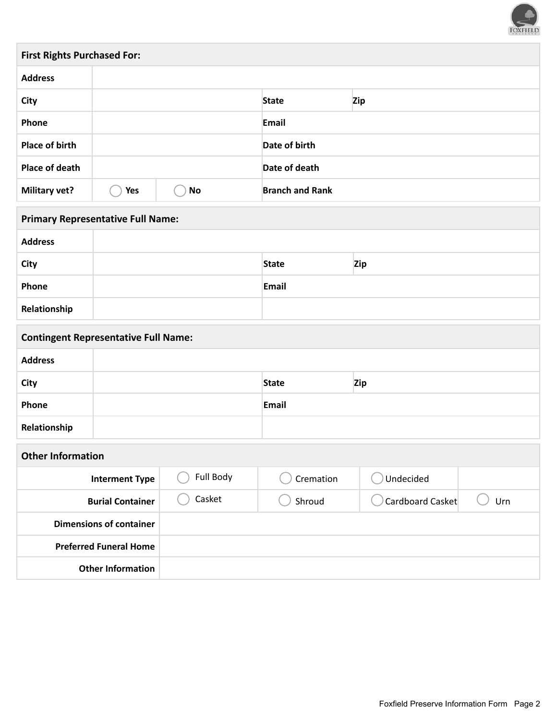

| <b>First Rights Purchased For:</b> |                     |    |                        |       |  |  |  |
|------------------------------------|---------------------|----|------------------------|-------|--|--|--|
| <b>Address</b>                     |                     |    |                        |       |  |  |  |
| <b>City</b>                        | Zip<br><b>State</b> |    |                        |       |  |  |  |
| Phone                              |                     |    |                        | Email |  |  |  |
| Place of birth                     |                     |    | Date of birth          |       |  |  |  |
| Place of death                     |                     |    | Date of death          |       |  |  |  |
| <b>Military vet?</b>               | Yes                 | No | <b>Branch and Rank</b> |       |  |  |  |

| <b>Primary Representative Full Name:</b> |  |              |     |  |  |
|------------------------------------------|--|--------------|-----|--|--|
| <b>Address</b>                           |  |              |     |  |  |
| City                                     |  | <b>State</b> | Zip |  |  |
| Phone                                    |  | Email        |     |  |  |
| Relationship                             |  |              |     |  |  |

| <b>Contingent Representative Full Name:</b> |        |              |                  |     |  |  |
|---------------------------------------------|--------|--------------|------------------|-----|--|--|
| <b>Address</b>                              |        |              |                  |     |  |  |
| City                                        |        | <b>State</b> | <b>Zip</b>       |     |  |  |
| Phone                                       |        | Email        |                  |     |  |  |
| Relationship                                |        |              |                  |     |  |  |
| <b>Other Information</b>                    |        |              |                  |     |  |  |
| Full Body<br><b>Interment Type</b>          |        | Cremation    | Undecided        |     |  |  |
| <b>Burial Container</b>                     | Casket | Shroud       | Cardboard Casket | Urn |  |  |
|                                             |        |              |                  |     |  |  |

| <b>Dimensions of container</b> |  |
|--------------------------------|--|
| <b>Preferred Funeral Home</b>  |  |
| <b>Other Information</b>       |  |